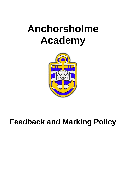# **Anchorsholme Academy**



## **Feedback and Marking Policy**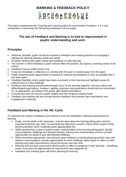## **MARKING & FEEDBACK POLICY**

ANCHORSHOLME

This policy complements the Teaching and Learning policy at Anchorsholme Academy. It is a vital component in maximising the full learning potential of all our pupils.

### **The aim of Feedback and Marking is to lead to improvement in pupils' understanding and work**.

## **Principles**

- Wherever possible, pupils should be involved in feedback and marking practices encouraging a dialogue for learning between pupils and adults
- All adults working with pupils should give feedback on their learning
- The manner in which feedback is given should reflect the positive, but rigorous, learning culture of the school
- Feedback may be written and/or oral
- It may be immediate or reflective (i.e. working with the pupil or marked away from the pupil)
- Pupils should be given opportunities to respond to marking and feedback as soon as possible after it has been given
- Feedback identifies where pupils have been successful in their learning and highlights areas for improvement or extra challenge
- Feedback and marking should predominantly focus on the learning objective, success criteria and differentiated expectations. However, spelling, grammar and presentation should also be commented on, as appropriate, according to the pupils' age related expectations
- It should also take into account pupils' targets and their progress towards these
- Feedback and marking will also provide positive feedback and promote high expectations and engagement in learning

## **Feedback and Marking in the AfL Cycle**

To maximise the impact of feedback and marking it must be embedded in effective assessment for learning:

- Pupils, and all adults in the classroom, must be clear about the learning taking place and the expected outcomes (eg. clear, focused learning objectives; success criteria which support these; learning activities which challenge pupils appropriately etc)
- Skilful questioning is used to explore pupils' understanding of the learning taking place; identify misconceptions; challenge and develop thinking, learning and understanding and thus provide opportunities for adults to give well-directed feedback
- When and where appropriate, mini plenaries give feedback to individuals/groups/whole class and address misconceptions; provide opportunities for extra challenge; allow pupils to reflect on their learning and make improvements during the lesson and over time.
- Effective self and peer assessment allows pupils to reflect on progress in their learning identifying areas of success and opportunities for improvement (see Appendix B)
- Feedback and marking given will inform planning for learning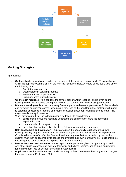

## **Marking Strategies**

#### Approaches:

- **Oral feedback** given by an adult in the presence of the pupil or group of pupils. This may happen whilst the pupils are working or after the learning has taken place. A record of this could take any of the following forms;
	- o Annotated notes on plans
	- o Observations in Learning Journals
	- o Summary notes on pupils' work
	- o Summary notes written by pupils
- **On the spot feedback** this can take the form of oral or written feedback and is given during learning time in the presence of the pupil and can be recorded in different ways (see above)
- **Distance marking** this takes place away from the pupils and gives opportunity for further analysis and reflection on pupils' progress in learning. It may lead to the need for further dialogue with pupils to celebrate successes in learning and inform discussion about application/next steps and/or fully diagnose misconceptions/errors.

When distance marking, the following should be taken into consideration:

- pupils should be able to read and understand the comments or have the comments explained to them
- comments should be spelt correctly
- the school handwriting policy should be followed when writing comments
- **Self-assessment and evaluation** pupils are given the opportunity to reflect on their own learning; identify progress towards success criteria/targets etc and identify areas for improvement (for this to be successful, effective feedback and marking must first be modelled by the teacher; children must then be taught how to assess and evaluate their own learning/work). Pupils should be encouraged to continually look to improve their work and learning.
- **Peer assessment and evaluation** when appropriate, pupils are given the opportunity to work with other pupils to assess and evaluate their own, and others' learning, and to make suggestions for improvement (see guidelines for training in Appendix B).
- **Pupil 1-1s**  teachers will meet with pupils 1-1 every half term to discuss their progress and targets for improvement in English and Maths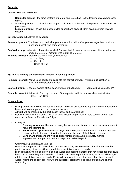#### **Prompts:**

#### **Closing The Gap Prompts:**

- **Reminder prompt** the simplest form of prompt and refers back to the learning objective/success criteria
- **Scaffold prompt** provides further support. This may take the form of a question or a short cloze procedure
- **Example prompt** this is the most detailed support and gives children examples from which to choose

#### **Eg. LO: to use adjectives to describe**

**Reminder prompt**: You have described what your monster looks like. Can you use adjectives to tell me more about what type of monster it is?

**Scaffold prompt:** What kind of monster was he? Change 'bad' for a word which makes him sound scarier. He was a ................. monster with teeth like................

**Example prompt**: Instead of the word 'bad' you could use:

- Terrifying
- **•** Ferocious
- Spine-chilling

#### **Eg. LO: To identify the calculation needed to solve a problem**

**Reminder prompt**: You've used addition to calculate the correct answer. Try using multiplication to calculate the repeated addition.

**Scaffold prompt:** 3 bags of sweets at 25p each. Instead of  $25+25+25=$  you could calculate 25 x ?  $=$ 

**Example prompt**: 6 bricks at 10cm high. Instead of the repeated addition you could try multiplication:  $6x10=$  or  $10x6=$ 

#### **Expectations:**

- Each piece of work will be marked by an adult. Any work assessed by pupils will be commented on by an adult (see Appendix..... re codes and colours)
- All work will be marked by the next lesson in that particular subject
- Detailed feedback and marking will be given at least onec per week in core subject and at ;east once per half term in Foundation Subjects
- In English
	- o **Reading journals** will be marked every lesson and quality marked once per week in order to move the learning on.
	- o **Short writing opportunities** will always be marked, an improvement prompt provided and responded to by the pupil within the lesson or at the start of the following lesson.
	- o **Longer and independent writing opportunities** will always be quality marked, improvement prompts provided and responded to by the pupil.
- Grammar, Punctuation and Spelling

Grammar and punctuation should be corrected according to the standard of attainment that the pupil is working at, which will be age related expectations for most pupils.

High frequency words, common exception words and spelling patterns that have been taught should be corrected according to the standard of attainment that the pupil is working at, which will be age related expectations for most pupils. Pupils will be asked to correct no more than three misspelt words, writing the correct spelling with the support of dictionaries, spelling journals and phonic scaffolding.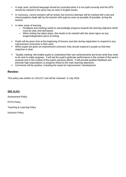- In topic work, technical language should be corrected when it is not spelt correctly and the GPS should be marked in the same way as work in English books.
- In numeracy, correct answers will be ticked, but incorrect attempts will be marked with a dot and misconceptions dealt with by the teacher with pupil as soon as possible (if possible, during the lesson)
- In other areas of learning
	- o Feedback and marking needs to acknowledge progress towards the learning objective which must be clear and skill based.
	- o When writing has taken place, this needs to be marked with the same rigour as any longer/independent piece of writing.
- Pupils will be given time at the beginning of lessons and also during registration to respond to any improvement comments in their work.
- When pupils are given an improvement comment, they should respond in purple so that their response is clear.
- `Quality marking' will enable pupils to understand their own achievements and know what they need to do next to make progress. It will set the pupil's particular performance in the context of the work's purpose and in the context of the pupil's previous efforts. It will provide positive feedback and promote high expectations or progress linked to the main learning objectives.
- Comments will be positive, including the areas for improvement / development.

#### **Review:**

This policy was written on 13/11/17 and will be reviewed in July 2018

#### **SEE ALSO:**

Assessment Policy

EYFS Policy

Teaching & Learning Policy

Inclusion Policy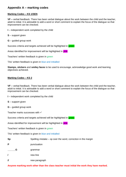## **Appendix A – marking codes**

#### **Marking Codes – KS 1/SEN**

**VF –** verbal feedback. There has been verbal dialogue about the work between the child and the teacher, adult to initial. It is advisable to add a word or short comment to explain the focus of the dialogue so that improvement can be checked.

- **I**  independent work completed by the child
- **S** support given
- **G** guided group work

Success criteria and targets achieved will be highlighted in **green** 

Areas identified for improvement will be highlighted in pink

Teachers' written feedback is given in green

TAs' written feedback is given in blue and initialled

**Stamps, stickers** and **smiley faces** to be used to encourage, acknowledge good work and learning objectives achieved.

#### **Marking Codes – KS 2**

**VF –** verbal feedback. There has been verbal dialogue about the work between the child and the teacher, adult to initial. It is advisable to add a word or short comment to explain the focus of the dialogue so that improvement can be checked.

- **I**  independent work completed by the child
- **S** support given
- **G** guided group work

Teacher marks successes with  $\checkmark$ 

Success criteria and targets achieved will be highlighted in **green** 

Areas identified for improvement will be highlighted in pink

Teachers' written feedback is given in green

TAs' written feedback is given in blue and initialled

| <b>Sp</b>                    | Spelling mistake – sp over the word, correction in |  |  |
|------------------------------|----------------------------------------------------|--|--|
|                              | punctuation                                        |  |  |
| <b><u>WAAAAAAAAAAAAA</u></b> | grammar                                            |  |  |

- **/** new line
- **//** new paragraph

**Anyone marking work other than the class teacher must initial the work they have marked.**

the margin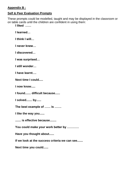## **Appendix B :**

## **Self & Peer Evaluation Prompts**

These prompts could be modelled, taught and may be displayed in the classroom or on table cards until the children are confident in using them:

**I liked ……**

**I learned…**

**I think I will…**

**I never knew…**

**I discovered…**

**I was surprised…**

**I still wonder…**

**I have learnt….**

**Next time I could.....**

**I now know.....**

**I found....... difficult because......**

**I solved....... by......**

**The best example of …… is …….**

**I like the way you......**

**....... is effective because........**

**You could make your work better by …………**

**Have you thought about......**

**If we look at the success criteria we can see.......**

**Next time you could......**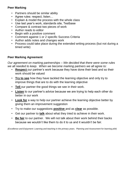## **Peer Marking**

- Partners should be similar ability
- Agree rules: respect, listen…
- Explain & model the process with the whole class
- Use last year's work, standards site, Testbase
- Compare & contrast two pieces of work
- Author reads to editor
- Begin with a positive comment
- Comment against 1 or 2 specific Success Criteria
- Author adds notes and changes work
- Process could take place during the extended writing process (but not during a timed write)

## **Peer Marking Agreement**

*Our agreement on marking partnerships – We decided that there were some rules we all needed to keep*. *When we become marking partners we all agree to:*

- **Respect** our partner's work because they have done their best and so their work should be valued
- **Try to see** how they have tackled the learning objective and only try to improve things that are to do with the learning objective
- **Tell** our partner the good things we see in their work.
- **Listen** to our partner's advice because we are trying to help each other do better in our work
- **Look for** a way to help our partner achieve the learning objective better by giving them an improvement suggestion
- Try to make our suggestions **positive** and as **clear** as possible.
- Get our partner to **talk** about what they tried to achieve in their work.
- **Be fair** to our partner. We will not talk about their work behind their backs because we wouldn't like them to do it to us and it wouldn't be fair.

*(Excellence and Enjoyment: Learning and teaching in the primary years. Planning and Assessment for learning p64)*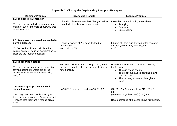## **Appendix C: Closing the Gap Marking Prompts - Examples**

| <b>Reminder Prompts</b>                                                                                                                                                                       | <b>Scaffolded Prompts</b>                                                                                        | <b>Example Prompts</b>                                                                                                                                                                               |  |
|-----------------------------------------------------------------------------------------------------------------------------------------------------------------------------------------------|------------------------------------------------------------------------------------------------------------------|------------------------------------------------------------------------------------------------------------------------------------------------------------------------------------------------------|--|
| LO: To describe a character<br>You have begun to build a picture of your<br>monster, but tell me more about what type<br>of monster he is.                                                    | What kind of monster was he? Change 'bad' for<br>a word which makes him sound scarier.                           | Instead of the word 'bad' you could use:<br>Terrifying<br>Ferocious<br>Spine-chilling                                                                                                                |  |
| LO: To choose the operations needed to<br>solve a problem<br>You've used addition to calculate the<br>correct answer. Try using multiplication to<br>calculate the repeated addition.         | 3 bags of sweets at 25p each. Instead of<br>$25+25+25=$<br>You could do $25x$ ? =                                | 6 bricks at 10cm high. Instead of the repeated<br>addition you could try multiplication<br>$6x10=$                                                                                                   |  |
| LO: to describe a setting<br>You have begun to use some description<br>for your setting but where are all the<br>wonderful 'wow' words you were using<br>orally?                              | You wrote "The sun was shining". Can you tell<br>me more about the effect of the sun shining or<br>how it shone? | How did the sun shine? Could you use any of<br>the following:<br>The sun shone brightly<br>The bright sun cast its glistening rays<br>over the earth<br>The sun's rays sparkled through the<br>trees |  |
| LO: to use appropriate symbols in<br>simple formulae<br>The $=$ sign has been used correctly in<br>these number sentences. Remember that<br>< means 'less than' and > means 'greater<br>than' | Is $(10+5)$ -6 greater or less than $(10-5)+3$ ?                                                                 | $(10+5) - 2 >$ (is greater than) $(10-5) + 6$<br>but<br>$(10 + 5) - 2 <$ (is less than) $(10-5) + 9$<br>Have another go at the ones I have highlighted.                                              |  |